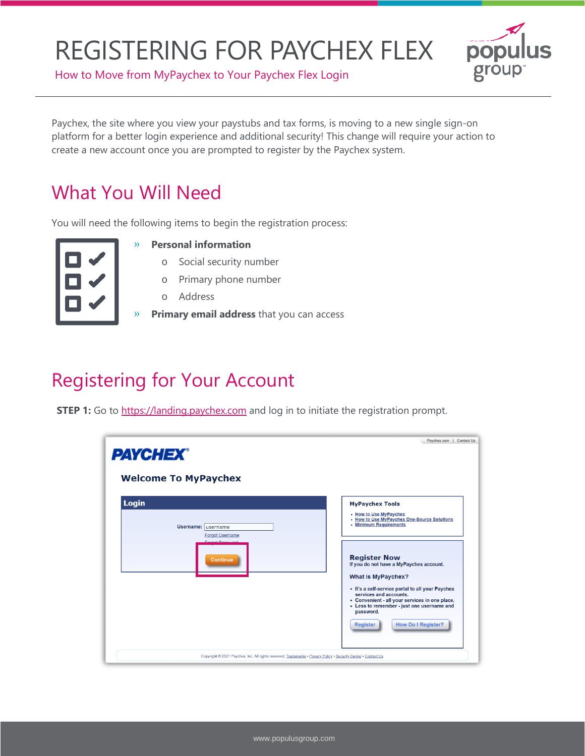

How to Move from MyPaychex to Your Paychex Flex Login

Paychex, the site where you view your paystubs and tax forms, is moving to a new single sign-on platform for a better login experience and additional security! This change will require your action to create a new account once you are prompted to register by the Paychex system.

### What You Will Need

You will need the following items to begin the registration process:

#### » **Personal information**

- o Social security number
- o Primary phone number
- o Address
- » **Primary email address** that you can access

### Registering for Your Account

**STEP 1:** Go to [https://landing.paychex.com](https://landing.paychex.com/) and log in to initiate the registration prompt.

| <b>PAYCHEX®</b><br><b>Welcome To MyPaychex</b>                                                                 | Paychex.com<br>Contact Us                                                                                                                                                                                                                                                                              |
|----------------------------------------------------------------------------------------------------------------|--------------------------------------------------------------------------------------------------------------------------------------------------------------------------------------------------------------------------------------------------------------------------------------------------------|
| Login<br>Username: username<br><b>Forgot Username</b><br><b>Egraph Poppword</b><br><b>Continue</b>             | <b>MyPaychex Tools</b><br>• How to Use MyPaychex<br>. How to Use MyPaychex One-Source Solutions<br>• Minimum Requirements<br><b>Register Now</b><br>If you do not have a MyPaychex account.<br><b>What is MyPaychex?</b><br>• It's a self-service portal to all your Paychex<br>services and accounts. |
| Copyright @ 2021 Paychex, Inc. All rights reserved. Trademarks . Privacy Policy . Security Center . Contact Us | • Convenient - all your services in one place.<br>• Less to remember - just one username and<br>password.<br><b>How Do I Register?</b><br><b>Register</b>                                                                                                                                              |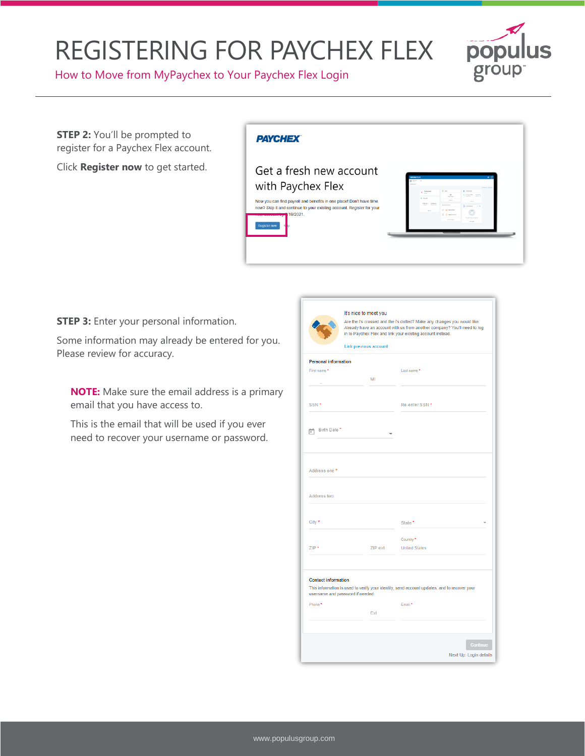

How to Move from MyPaychex to Your Paychex Flex Login

**STEP 2:** You'll be prompted to register for a Paychex Flex account.

Click **Register now** to get started.

#### **PAYCHEX**

Get a fresh new account with Paychex Flex Now you can find payroll and benefits in one place! Don't have time now? Skip it and continue to your existing account. Register for your 19/2021.



Next Up: Login details

**STEP 3:** Enter your personal information.

Some information may already be entered for you. Please review for accuracy.

**NOTE:** Make sure the email address is a primary email that you have access to.

This is the email that will be used if you ever need to recover your username or password.

|                                  | It's nice to meet you |                                                                                                                                                                                                              |
|----------------------------------|-----------------------|--------------------------------------------------------------------------------------------------------------------------------------------------------------------------------------------------------------|
|                                  |                       | Are the t's crossed and the i's dotted? Make any changes you would lik<br>Already have an account with us from another company? You'll need to<br>in to Paychex Flex and link your existing account instead. |
|                                  | Link previous account |                                                                                                                                                                                                              |
| <b>Personal information</b>      |                       |                                                                                                                                                                                                              |
| First name *                     |                       | Last name*                                                                                                                                                                                                   |
|                                  | MI                    |                                                                                                                                                                                                              |
|                                  |                       |                                                                                                                                                                                                              |
| SSN <sup>*</sup>                 |                       | Re-enter SSN *                                                                                                                                                                                               |
|                                  |                       |                                                                                                                                                                                                              |
| Birth Date <sup>*</sup><br>π     |                       |                                                                                                                                                                                                              |
| Address one *                    |                       |                                                                                                                                                                                                              |
| Address two                      |                       |                                                                                                                                                                                                              |
|                                  |                       |                                                                                                                                                                                                              |
|                                  |                       |                                                                                                                                                                                                              |
| City *                           |                       | State <sup>•</sup>                                                                                                                                                                                           |
|                                  |                       |                                                                                                                                                                                                              |
| $ZIP*$                           | ZIP ext               | Country <sup>*</sup><br><b>United States</b>                                                                                                                                                                 |
|                                  |                       |                                                                                                                                                                                                              |
|                                  |                       |                                                                                                                                                                                                              |
| <b>Contact information</b>       |                       | This information is used to verify your identity, send account updates, and to recover your                                                                                                                  |
| username and password if needed. |                       |                                                                                                                                                                                                              |
| Phone*                           |                       | Email *                                                                                                                                                                                                      |
|                                  | <b>Cost</b>           |                                                                                                                                                                                                              |

ny changes you would like. iny changes you would like.<br>r company? You'll need to log<br>unt instead.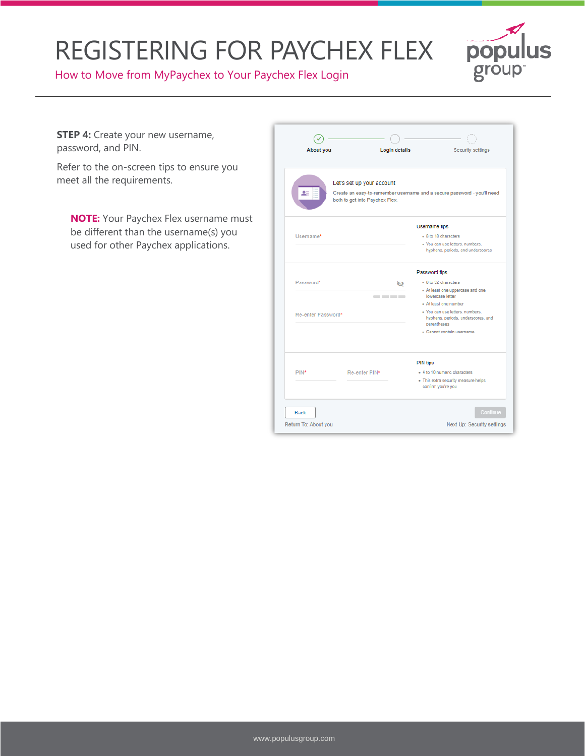

How to Move from MyPaychex to Your Paychex Flex Login

**STEP 4:** Create your new username, password, and PIN.

Refer to the on-screen tips to ensure you meet all the requirements.

**NOTE:** Your Paychex Flex username must be different than the username(s) you used for other Paychex applications.

| About you          | <b>Login details</b>                                                                                                                   | Security settings                                                                                                 |  |
|--------------------|----------------------------------------------------------------------------------------------------------------------------------------|-------------------------------------------------------------------------------------------------------------------|--|
|                    | Let's set up your account<br>Create an easy-to-remember username and a secure password - you'll need<br>both to get into Paychex Flex. |                                                                                                                   |  |
|                    |                                                                                                                                        | <b>Username</b> tips                                                                                              |  |
| Username*          |                                                                                                                                        | • 8 to 18 characters<br>· You can use letters, numbers,<br>hyphens, periods, and underscores                      |  |
|                    |                                                                                                                                        | Password tips                                                                                                     |  |
| Password*          | ø<br>____                                                                                                                              | . 8 to 32 characters<br>. At least one uppercase and one<br>lowercase letter<br>· At least one number             |  |
| Re-enter Password* |                                                                                                                                        | · You can use letters, numbers.<br>hyphens, periods, underscores, and<br>parentheses<br>· Cannot contain username |  |
|                    | <b>PIN tips</b>                                                                                                                        |                                                                                                                   |  |
| PIN*               | Re-enter PIN*                                                                                                                          | - 4 to 10 numeric characters<br>. This extra security measure helps<br>confirm you're you                         |  |
| <b>Back</b>        |                                                                                                                                        | Continue                                                                                                          |  |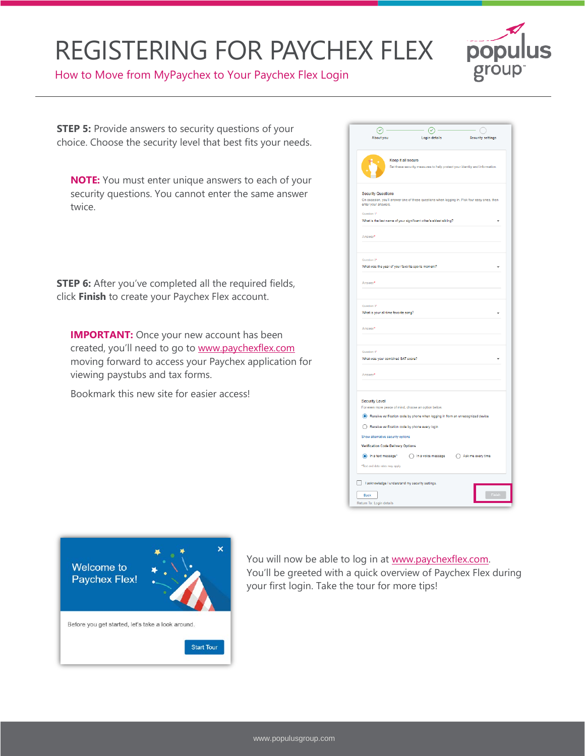

How to Move from MyPaychex to Your Paychex Flex Login

**STEP 5:** Provide answers to security questions of your choice. Choose the security level that best fits your needs.

**NOTE:** You must enter unique answers to each of your security questions. You cannot enter the same answer twice.

**STEP 6:** After you've completed all the required fields, click **Finish** to create your Paychex Flex account.

**IMPORTANT:** Once your new account has been created, you'll need to go to [www.paychexflex.com](http://www.paychexflex.com/) moving forward to access your Paychex application for viewing paystubs and tax forms.

Bookmark this new site for easier access!

| ∞                                                                                                                                                                                                          | $\circ$                                                                    |                          |
|------------------------------------------------------------------------------------------------------------------------------------------------------------------------------------------------------------|----------------------------------------------------------------------------|--------------------------|
| About you                                                                                                                                                                                                  | Login details                                                              | <b>Security settings</b> |
|                                                                                                                                                                                                            |                                                                            |                          |
| Keep it all secure                                                                                                                                                                                         | Set these security measures to help protect your identity and information. |                          |
| <b>Security Questions</b><br>On occasion, you'll answer one of these questions when logging in. Pick four easy ones, then<br>enter your answers.<br>Question 1*                                            |                                                                            |                          |
| What is the last name of your significant other's eldest sibling?                                                                                                                                          |                                                                            |                          |
| Answer <sup>*</sup>                                                                                                                                                                                        |                                                                            |                          |
| Question 2*<br>What was the year of your favorite sports moment?                                                                                                                                           |                                                                            |                          |
| Answer*                                                                                                                                                                                                    |                                                                            |                          |
| Question 3*<br>What is your all-time favorite song?<br>Answer*                                                                                                                                             |                                                                            |                          |
| Question 4*<br>What was your combined SAT score?                                                                                                                                                           |                                                                            |                          |
| Answer*                                                                                                                                                                                                    |                                                                            |                          |
| Security Level<br>For even more peace of mind, choose an option below.<br>Receive verification code by phone when logging in from an unrecognized device<br>Receive verification code by phone every login |                                                                            |                          |
| Show alternative security options                                                                                                                                                                          |                                                                            |                          |
| <b>Verification Code Delivery Options</b>                                                                                                                                                                  |                                                                            |                          |
| (a) In a text message*                                                                                                                                                                                     | n a voice message                                                          | Ask me every time        |
| *Text and data rates may apply                                                                                                                                                                             |                                                                            |                          |
| I acknowledge I understand my security settings.<br><b>Back</b>                                                                                                                                            |                                                                            | Finish                   |
| Return To: Login details                                                                                                                                                                                   |                                                                            |                          |



You will now be able to log in at www.paychexflex.com. You'll be greeted with a quick overview of Paychex Flex during your first login. Take the tour for more tips!